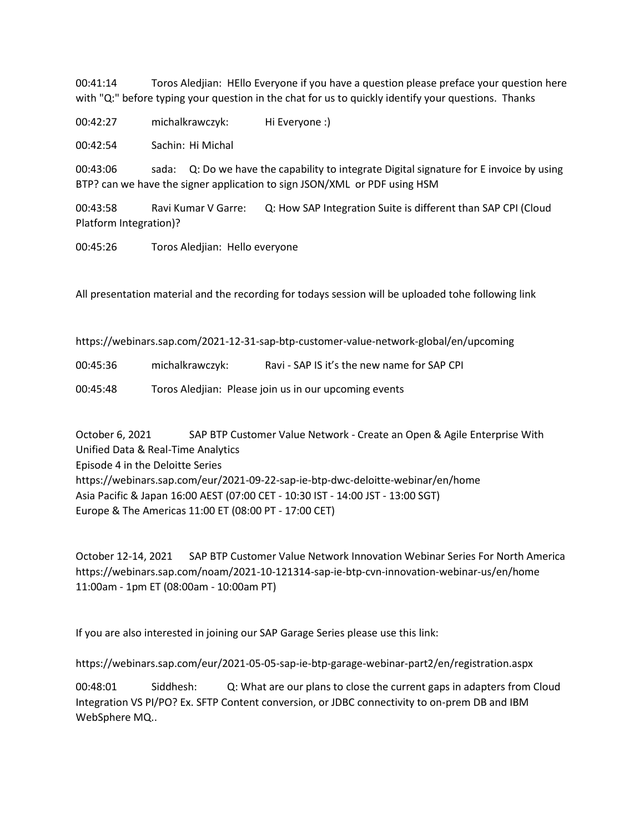00:41:14 Toros Aledjian: HEllo Everyone if you have a question please preface your question here with "Q:" before typing your question in the chat for us to quickly identify your questions. Thanks

00:42:27 michalkrawczyk: Hi Everyone :)

00:42:54 Sachin: Hi Michal

00:43:06 sada: Q: Do we have the capability to integrate Digital signature for E invoice by using BTP? can we have the signer application to sign JSON/XML or PDF using HSM

00:43:58 Ravi Kumar V Garre: Q: How SAP Integration Suite is different than SAP CPI (Cloud Platform Integration)?

00:45:26 Toros Aledjian: Hello everyone

All presentation material and the recording for todays session will be uploaded tohe following link

https://webinars.sap.com/2021-12-31-sap-btp-customer-value-network-global/en/upcoming

00:45:36 michalkrawczyk: Ravi - SAP IS it's the new name for SAP CPI

00:45:48 Toros Aledjian: Please join us in our upcoming events

October 6, 2021 SAP BTP Customer Value Network - Create an Open & Agile Enterprise With Unified Data & Real-Time Analytics Episode 4 in the Deloitte Series https://webinars.sap.com/eur/2021-09-22-sap-ie-btp-dwc-deloitte-webinar/en/home Asia Pacific & Japan 16:00 AEST (07:00 CET - 10:30 IST - 14:00 JST - 13:00 SGT) Europe & The Americas 11:00 ET (08:00 PT - 17:00 CET)

October 12-14, 2021 SAP BTP Customer Value Network Innovation Webinar Series For North America https://webinars.sap.com/noam/2021-10-121314-sap-ie-btp-cvn-innovation-webinar-us/en/home 11:00am - 1pm ET (08:00am - 10:00am PT)

If you are also interested in joining our SAP Garage Series please use this link:

https://webinars.sap.com/eur/2021-05-05-sap-ie-btp-garage-webinar-part2/en/registration.aspx

00:48:01 Siddhesh: Q: What are our plans to close the current gaps in adapters from Cloud Integration VS PI/PO? Ex. SFTP Content conversion, or JDBC connectivity to on-prem DB and IBM WebSphere MQ..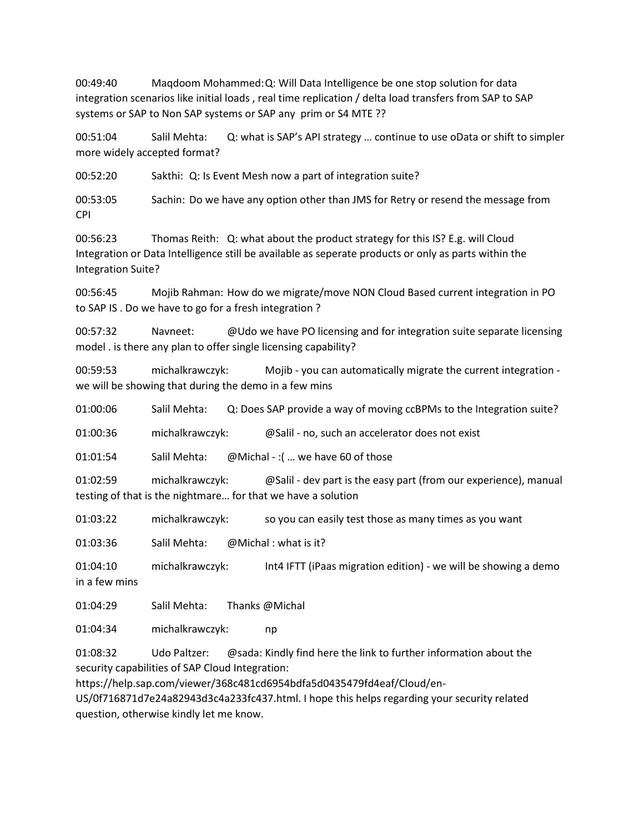00:49:40 Maqdoom Mohammed:Q: Will Data Intelligence be one stop solution for data integration scenarios like initial loads , real time replication / delta load transfers from SAP to SAP systems or SAP to Non SAP systems or SAP any prim or S4 MTE ??

00:51:04 Salil Mehta: Q: what is SAP's API strategy … continue to use oData or shift to simpler more widely accepted format?

00:52:20 Sakthi: Q: Is Event Mesh now a part of integration suite?

00:53:05 Sachin: Do we have any option other than JMS for Retry or resend the message from CPI

00:56:23 Thomas Reith: Q: what about the product strategy for this IS? E.g. will Cloud Integration or Data Intelligence still be available as seperate products or only as parts within the Integration Suite?

00:56:45 Mojib Rahman: How do we migrate/move NON Cloud Based current integration in PO to SAP IS . Do we have to go for a fresh integration ?

00:57:32 Navneet: @Udo we have PO licensing and for integration suite separate licensing model . is there any plan to offer single licensing capability?

00:59:53 michalkrawczyk: Mojib - you can automatically migrate the current integration we will be showing that during the demo in a few mins

01:00:06 Salil Mehta: Q: Does SAP provide a way of moving ccBPMs to the Integration suite?

01:00:36 michalkrawczyk: @Salil - no, such an accelerator does not exist

01:01:54 Salil Mehta: @Michal - :( … we have 60 of those

01:02:59 michalkrawczyk: @Salil - dev part is the easy part (from our experience), manual testing of that is the nightmare… for that we have a solution

01:03:22 michalkrawczyk: so you can easily test those as many times as you want

01:03:36 Salil Mehta: @Michal : what is it?

01:04:10 michalkrawczyk: Int4 IFTT (iPaas migration edition) - we will be showing a demo in a few mins

01:04:29 Salil Mehta: Thanks @Michal

01:04:34 michalkrawczyk: np

01:08:32 Udo Paltzer: @sada: Kindly find here the link to further information about the security capabilities of SAP Cloud Integration:

https://help.sap.com/viewer/368c481cd6954bdfa5d0435479fd4eaf/Cloud/en-

US/0f716871d7e24a82943d3c4a233fc437.html. I hope this helps regarding your security related question, otherwise kindly let me know.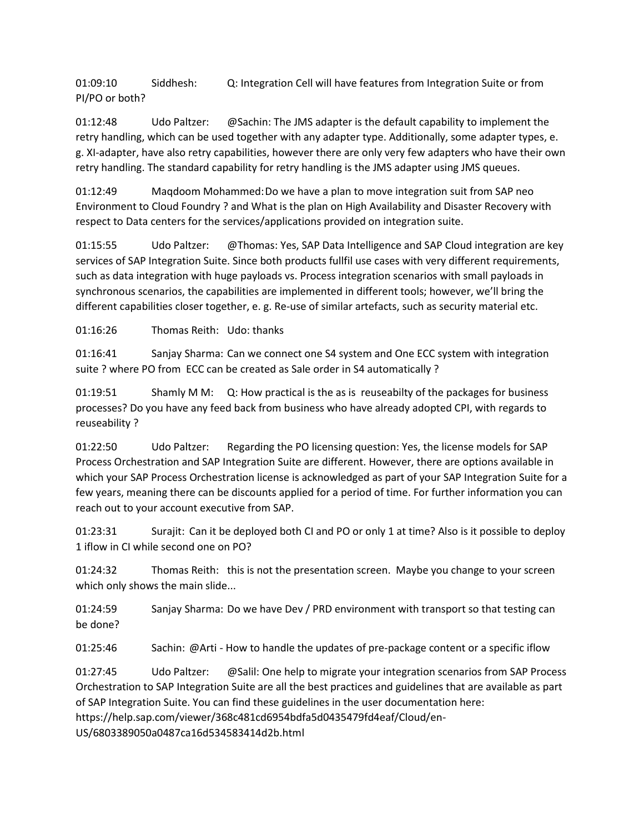01:09:10 Siddhesh: Q: Integration Cell will have features from Integration Suite or from PI/PO or both?

01:12:48 Udo Paltzer: @Sachin: The JMS adapter is the default capability to implement the retry handling, which can be used together with any adapter type. Additionally, some adapter types, e. g. XI-adapter, have also retry capabilities, however there are only very few adapters who have their own retry handling. The standard capability for retry handling is the JMS adapter using JMS queues.

01:12:49 Maqdoom Mohammed:Do we have a plan to move integration suit from SAP neo Environment to Cloud Foundry ? and What is the plan on High Availability and Disaster Recovery with respect to Data centers for the services/applications provided on integration suite.

01:15:55 Udo Paltzer: @Thomas: Yes, SAP Data Intelligence and SAP Cloud integration are key services of SAP Integration Suite. Since both products fullfil use cases with very different requirements, such as data integration with huge payloads vs. Process integration scenarios with small payloads in synchronous scenarios, the capabilities are implemented in different tools; however, we'll bring the different capabilities closer together, e. g. Re-use of similar artefacts, such as security material etc.

01:16:26 Thomas Reith: Udo: thanks

01:16:41 Sanjay Sharma: Can we connect one S4 system and One ECC system with integration suite ? where PO from ECC can be created as Sale order in S4 automatically ?

01:19:51 Shamly M M: Q: How practical is the as is reuseabilty of the packages for business processes? Do you have any feed back from business who have already adopted CPI, with regards to reuseability ?

01:22:50 Udo Paltzer: Regarding the PO licensing question: Yes, the license models for SAP Process Orchestration and SAP Integration Suite are different. However, there are options available in which your SAP Process Orchestration license is acknowledged as part of your SAP Integration Suite for a few years, meaning there can be discounts applied for a period of time. For further information you can reach out to your account executive from SAP.

01:23:31 Surajit: Can it be deployed both CI and PO or only 1 at time? Also is it possible to deploy 1 iflow in CI while second one on PO?

01:24:32 Thomas Reith: this is not the presentation screen. Maybe you change to your screen which only shows the main slide...

01:24:59 Sanjay Sharma: Do we have Dev / PRD environment with transport so that testing can be done?

01:25:46 Sachin: @Arti - How to handle the updates of pre-package content or a specific iflow

01:27:45 Udo Paltzer: @Salil: One help to migrate your integration scenarios from SAP Process Orchestration to SAP Integration Suite are all the best practices and guidelines that are available as part of SAP Integration Suite. You can find these guidelines in the user documentation here: https://help.sap.com/viewer/368c481cd6954bdfa5d0435479fd4eaf/Cloud/en-US/6803389050a0487ca16d534583414d2b.html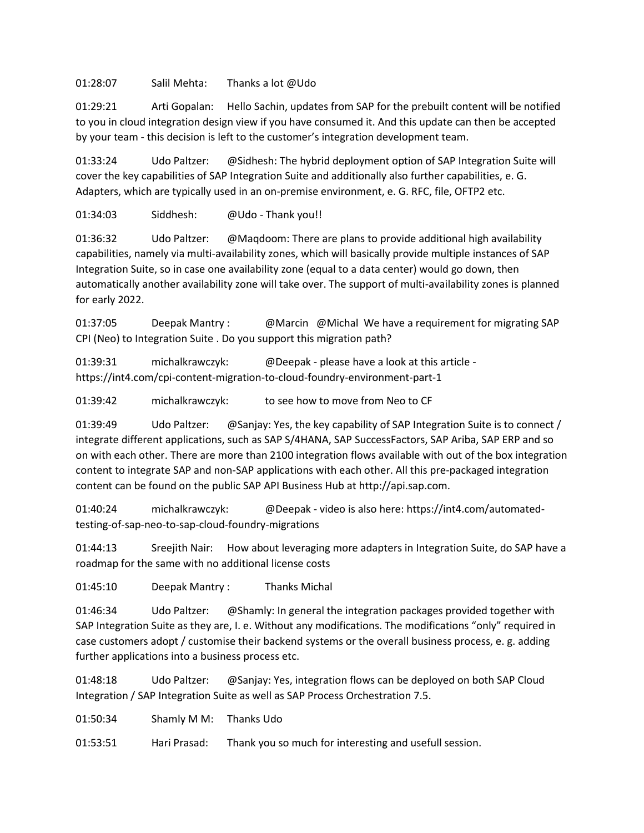01:28:07 Salil Mehta: Thanks a lot @Udo

01:29:21 Arti Gopalan: Hello Sachin, updates from SAP for the prebuilt content will be notified to you in cloud integration design view if you have consumed it. And this update can then be accepted by your team - this decision is left to the customer's integration development team.

01:33:24 Udo Paltzer: @Sidhesh: The hybrid deployment option of SAP Integration Suite will cover the key capabilities of SAP Integration Suite and additionally also further capabilities, e. G. Adapters, which are typically used in an on-premise environment, e. G. RFC, file, OFTP2 etc.

01:34:03 Siddhesh: @Udo - Thank you!!

01:36:32 Udo Paltzer: @Maqdoom: There are plans to provide additional high availability capabilities, namely via multi-availability zones, which will basically provide multiple instances of SAP Integration Suite, so in case one availability zone (equal to a data center) would go down, then automatically another availability zone will take over. The support of multi-availability zones is planned for early 2022.

01:37:05 Deepak Mantry : @Marcin @Michal We have a requirement for migrating SAP CPI (Neo) to Integration Suite . Do you support this migration path?

01:39:31 michalkrawczyk: @Deepak - please have a look at this article https://int4.com/cpi-content-migration-to-cloud-foundry-environment-part-1

01:39:42 michalkrawczyk: to see how to move from Neo to CF

01:39:49 Udo Paltzer: @Sanjay: Yes, the key capability of SAP Integration Suite is to connect / integrate different applications, such as SAP S/4HANA, SAP SuccessFactors, SAP Ariba, SAP ERP and so on with each other. There are more than 2100 integration flows available with out of the box integration content to integrate SAP and non-SAP applications with each other. All this pre-packaged integration content can be found on the public SAP API Business Hub at http://api.sap.com.

01:40:24 michalkrawczyk: @Deepak - video is also here: https://int4.com/automatedtesting-of-sap-neo-to-sap-cloud-foundry-migrations

01:44:13 Sreejith Nair: How about leveraging more adapters in Integration Suite, do SAP have a roadmap for the same with no additional license costs

01:45:10 Deepak Mantry : Thanks Michal

01:46:34 Udo Paltzer: @Shamly: In general the integration packages provided together with SAP Integration Suite as they are, I. e. Without any modifications. The modifications "only" required in case customers adopt / customise their backend systems or the overall business process, e. g. adding further applications into a business process etc.

01:48:18 Udo Paltzer: @Sanjay: Yes, integration flows can be deployed on both SAP Cloud Integration / SAP Integration Suite as well as SAP Process Orchestration 7.5.

01:50:34 Shamly M M: Thanks Udo

01:53:51 Hari Prasad: Thank you so much for interesting and usefull session.